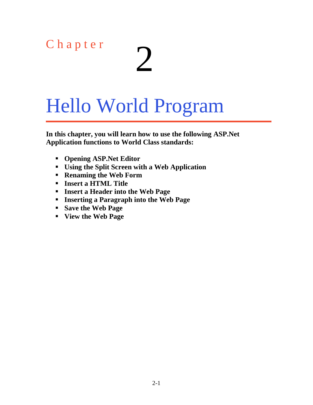# C h a p t e r  $\sum$

## Hello World Program

**In this chapter, you will learn how to use the following ASP.Net Application functions to World Class standards:**

- **Opening ASP.Net Editor**
- **Using the Split Screen with a Web Application**
- **Renaming the Web Form**
- **Insert a HTML Title**
- **Insert a Header into the Web Page**
- **Inserting a Paragraph into the Web Page**
- **Save the Web Page**
- **View the Web Page**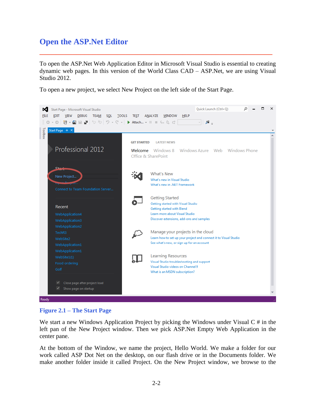#### **Open the ASP.Net Editor**

To open the ASP.Net Web Application Editor in Microsoft Visual Studio is essential to creating dynamic web pages. In this version of the World Class CAD – ASP.Net, we are using Visual Studio 2012.

**\_\_\_\_\_\_\_\_\_\_\_\_\_\_\_\_\_\_\_\_\_\_\_\_\_\_\_\_\_\_\_\_\_\_\_\_\_\_\_\_\_\_\_\_\_\_\_\_\_\_\_\_\_\_\_\_\_**

To open a new project, we select New Project on the left side of the Start Page.



#### **Figure 2.1 – The Start Page**

We start a new Windows Application Project by picking the Windows under Visual  $C \#$  in the left pan of the New Project window. Then we pick ASP.Net Empty Web Application in the center pane.

At the bottom of the Window, we name the project, Hello World. We make a folder for our work called ASP Dot Net on the desktop, on our flash drive or in the Documents folder. We make another folder inside it called Project. On the New Project window, we browse to the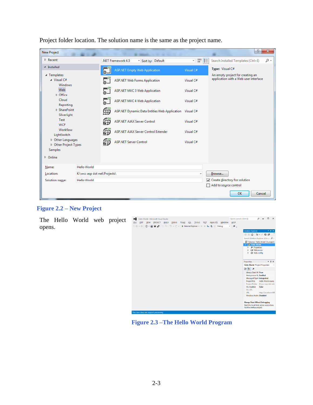| <b>New Project</b>                                                                                                                                                                                                                                                                |                              |                      |                                                   |                           | P<br>$\mathbf{x}$                                                         |  |  |  |
|-----------------------------------------------------------------------------------------------------------------------------------------------------------------------------------------------------------------------------------------------------------------------------------|------------------------------|----------------------|---------------------------------------------------|---------------------------|---------------------------------------------------------------------------|--|--|--|
| $\triangleright$ Recent                                                                                                                                                                                                                                                           |                              |                      | .NET Framework 4.5<br>Sort by: Default            | 開日<br>$\scriptstyle\rm w$ | Search Installed Templates (Ctrl+E)<br>- ۹                                |  |  |  |
| ▲ Installed<br>▲ Templates<br>$\blacktriangle$ Visual C#<br><b>Windows</b><br>Web<br>D Office<br>Cloud<br>Reporting<br>▷ SharePoint<br>Silverlight<br>Test<br><b>WCF</b><br>Workflow<br>LightSwitch<br>D Other Languages<br>D Other Project Types<br><b>Samples</b><br>$D$ Online |                              | $\overline{\bullet}$ | <b>ASP.NET Empty Web Application</b>              | Visual C#                 | Type: Visual C#                                                           |  |  |  |
|                                                                                                                                                                                                                                                                                   |                              |                      | <b>ASP.NET Web Forms Application</b><br>Visual C# |                           | An empty project for creating an<br>application with a Web user interface |  |  |  |
|                                                                                                                                                                                                                                                                                   |                              |                      | <b>ASP.NET MVC 3 Web Application</b>              | Visual C#                 |                                                                           |  |  |  |
|                                                                                                                                                                                                                                                                                   |                              |                      | <b>ASP.NET MVC 4 Web Application</b>              | Visual C#                 |                                                                           |  |  |  |
|                                                                                                                                                                                                                                                                                   |                              | ∰                    | ASP.NET Dynamic Data Entities Web Application     | Visual C#                 |                                                                           |  |  |  |
|                                                                                                                                                                                                                                                                                   |                              | 碓                    | <b>ASP.NET AJAX Server Control</b>                | Visual C#                 |                                                                           |  |  |  |
|                                                                                                                                                                                                                                                                                   |                              | 能                    | ASP.NET AJAX Server Control Extender              | Visual C#                 |                                                                           |  |  |  |
|                                                                                                                                                                                                                                                                                   |                              | 能                    | <b>ASP.NET Server Control</b>                     | Visual C#                 |                                                                           |  |  |  |
|                                                                                                                                                                                                                                                                                   |                              |                      |                                                   |                           |                                                                           |  |  |  |
| Name:                                                                                                                                                                                                                                                                             | <b>Hello World</b>           |                      |                                                   |                           |                                                                           |  |  |  |
| Location:                                                                                                                                                                                                                                                                         | K:\wcc asp dot net\Projects\ |                      |                                                   |                           | Browse<br>○ Create directory for solution                                 |  |  |  |
| Solution name:                                                                                                                                                                                                                                                                    | <b>Hello World</b>           |                      |                                                   |                           |                                                                           |  |  |  |
|                                                                                                                                                                                                                                                                                   |                              |                      |                                                   |                           | Add to source control                                                     |  |  |  |
|                                                                                                                                                                                                                                                                                   |                              |                      |                                                   |                           | OK<br>Cancel                                                              |  |  |  |

Project folder location. The solution name is the same as the project name.



The Hello World web project opens.



**Figure 2.3 –The Hello World Program**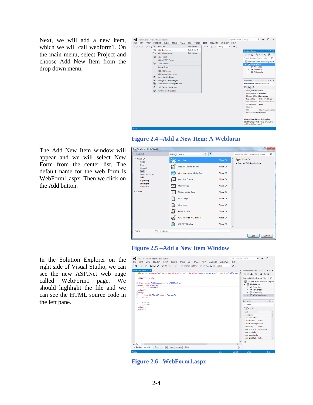Next, we will add a new item, which we will call webform1. On the main menu, select Project and choose Add New Item from the drop down menu.





The Add New Item window will appear and we will select New Form from the center list. The default name for the web form is WebForm1.aspx. Then we click on the Add button.

In the Solution Explorer on the right side of Visual Studio, we can see the new ASP.Net web page called WebForm1 page. We should highlight the file and we can see the HTML source code in the left pane.



#### **Figure 2.5 –Add a New Item Window**



**Figure 2.6 –WebForm1.aspx**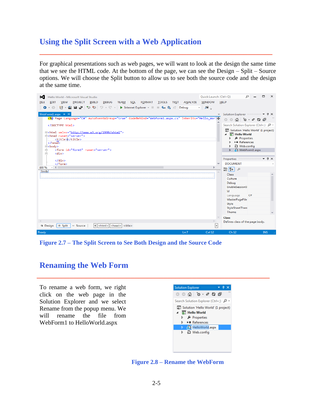#### **Using the Split Screen with a Web Application**

For graphical presentations such as web pages, we will want to look at the design the same time that we see the HTML code. At the bottom of the page, we can see the Design – Split – Source options. We will choose the Split button to allow us to see both the source code and the design at the same time.

**\_\_\_\_\_\_\_\_\_\_\_\_\_\_\_\_\_\_\_\_\_\_\_\_\_\_\_\_\_\_\_\_\_\_\_\_\_\_\_\_\_\_\_\_\_\_\_\_\_\_\_\_\_\_\_\_\_**



**Figure 2.7 – The Split Screen to See Both Design and the Source Code**

#### **Renaming the Web Form**

To rename a web form, we right click on the web page in the Solution Explorer and we select Rename from the popup menu. We will rename the file from WebForm1 to HelloWorld.aspx



**Figure 2.8 – Rename the WebForm**

**\_\_\_\_\_\_\_\_\_\_\_\_\_\_\_\_\_\_\_\_\_\_\_\_\_\_\_\_\_\_\_\_\_\_\_\_\_\_\_\_\_\_\_\_\_\_\_\_\_\_\_\_\_\_\_\_\_**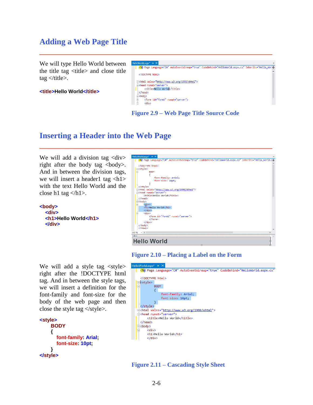#### **Adding a Web Page Title**

We will type Hello World between the title tag  $\langle$ title $\rangle$  and close title tag  $\lt$ /title>.

**<title>Hello World</title>**

| HelloWorld.aspx* + X                                                                              | v |
|---------------------------------------------------------------------------------------------------|---|
| <%@ Page Language="C#" AutoEventWireup="true" CodeBehind="HelloWorld.aspx.cs" Inherits="Hello Wor |   |
| $\langle$ !DOCTYPE html>                                                                          |   |
| E <html xmlns="http://www.w3.org/1999/xhtml"><br/>Fikhead runat="server"&gt;</html>               |   |
| <title>Hello World</title><br>                                                                    |   |
| $\Box$<br>body>                                                                                   |   |
| <form id="form1" runat="server"><br/>Ė<br/>Ė<br/><div></div></form>                               |   |
|                                                                                                   |   |

**Figure 2.9 – Web Page Title Source Code**

**\_\_\_\_\_\_\_\_\_\_\_\_\_\_\_\_\_\_\_\_\_\_\_\_\_\_\_\_\_\_\_\_\_\_\_\_\_\_\_\_\_\_\_\_\_\_\_\_\_\_\_\_\_\_\_\_\_**

**\_\_\_\_\_\_\_\_\_\_\_\_\_\_\_\_\_\_\_\_\_\_\_\_\_\_\_\_\_\_\_\_\_\_\_\_\_\_\_\_\_\_\_\_\_\_\_\_\_\_\_\_\_\_\_\_\_**

### **Inserting a Header into the Web Page**

We will add a division tag <div> right after the body tag  $\langle \text{body} \rangle$ . And in between the division tags, we will insert a header1 tag  $\langle h1 \rangle$ with the text Hello World and the close h1 tag  $\langle h1 \rangle$ .

**<body> <div> <h1>Hello World</h1> </div>**



**Figure 2.10 – Placing a Label on the Form**



**Figure 2.11 – Cascading Style Sheet**

We will add a style tag <style> right after the !DOCTYPE html tag. And in between the style tags, we will insert a definition for the font-family and font-size for the body of the web page and then close the style tag  $\langle$  style  $\rangle$ .

```
<style>
      BODY
      {
        font-family: Arial;
        font-size: 10pt;
 }
</style>
```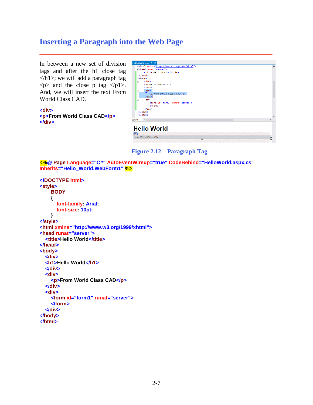#### **Inserting a Paragraph into the Web Page**

In between a new set of division tags and after the h1 close tag  $\langle h1 \rangle$ ; we will add a paragraph tag  $\langle p \rangle$  and the close p tag  $\langle p1 \rangle$ . And, we will insert the text From World Class CAD.

**<div> <p>From World Class CAD</p> </div>**

| HelloWorld.aspx $\div$ $\times$                                                                                                                                                                                                              |        |
|----------------------------------------------------------------------------------------------------------------------------------------------------------------------------------------------------------------------------------------------|--------|
| E <html xmlns="http://www.w3.org/1999/xhtml"><br/>Fikhead runat="server"&gt;<br/><title>Hello World</title><br/><math>\langle</math>/head&gt;<br/><b>E</b><br/>body&gt;</html>                                                               | $\div$ |
| <div><br/><h1>Hello World</h1><br/><math>\langle</math>/div&gt;<br/><div><br/><p>From World Class CAD</p><br/></div><br/><div><br/><form id="form1" runat="server"><br/></form><br/><math>\langle</math>/div<math>\rangle</math></div></div> |        |
| <br>$\langle$ /html>                                                                                                                                                                                                                         |        |
| $100 \%$ $\rightarrow$ 4                                                                                                                                                                                                                     |        |
| <b>Hello World</b>                                                                                                                                                                                                                           |        |
| div)<br>From World Class CAD                                                                                                                                                                                                                 |        |
|                                                                                                                                                                                                                                              |        |



**<%@ Page Language="C#" AutoEventWireup="true" CodeBehind="HelloWorld.aspx.cs" Inherits="Hello\_World.WebForm1" %>**

**\_\_\_\_\_\_\_\_\_\_\_\_\_\_\_\_\_\_\_\_\_\_\_\_\_\_\_\_\_\_\_\_\_\_\_\_\_\_\_\_\_\_\_\_\_\_\_\_\_\_\_\_\_\_\_\_\_**

```
<!DOCTYPE html>
<style>
     BODY
     {
        font-family: Arial;
        font-size: 10pt;
     }
</style>
<html xmlns="http://www.w3.org/1999/xhtml">
<head runat="server">
   <title>Hello World</title>
</head> 
<body>
   <div>
   <h1>Hello World</h1>
   </div>
   <div>
     <p>From World Class CAD</p>
   </div>
   <div>
     <form id="form1" runat="server">
     </form>
   </div> 
</body>
</html>
```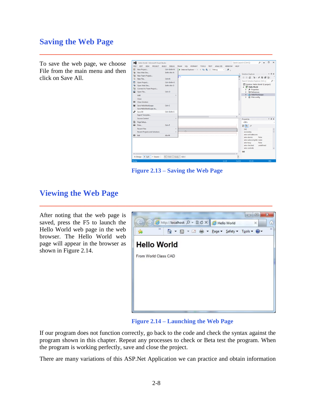#### **Saving the Web Page**

To save the web page, we choose File from the main menu and then click on Save All.

| ∞<br>FILE     | Hello World - Microsoft Visual Studio<br><b>PROJECT</b><br><b>EDIT</b><br><b>VIEW</b> | <b>DEBUG</b><br><b>BUILD</b>                        | <b>TEAM</b><br>SOL<br>FORMAT                | <b>TOOLS</b><br><b>TEST</b> | ANALYZE<br><b>WINDOW</b> | <b>HELP</b>              | <b>Ouick Launch (Ctrl+O)</b>                                                                                    | ٩                           | $\Box$<br>$\times$ |
|---------------|---------------------------------------------------------------------------------------|-----------------------------------------------------|---------------------------------------------|-----------------------------|--------------------------|--------------------------|-----------------------------------------------------------------------------------------------------------------|-----------------------------|--------------------|
| 韶<br>ò        | New Project<br>New Web Site                                                           | $CrI + Shiff + N$<br>$Shift + Alt + N$              | > Internet Explorer - II III G. C. C. Debug |                             | $\mathcal{B}$ .<br>. .   | $\overline{\phantom{a}}$ |                                                                                                                 |                             |                    |
| Έ<br>ñ        | New Team Project<br>New File                                                          | $CrI + N$                                           | h">                                         |                             |                          | $\ddotplus$              | 00000000000                                                                                                     |                             |                    |
| ۴۱<br>ф<br>ta | Open Project<br>Open Web Site<br>Connect to Team Project                              | $Ctrl + Shift + O$<br>Shift+Alt+O                   |                                             |                             |                          |                          | Search Solution Explorer (Ctrl+;)<br>[a] Solution 'Hello World' (1 project)<br>Hello World<br>& Properties<br>ь |                             | - ه                |
| 省             | Open File<br>Add                                                                      | $Ctrl + O$                                          |                                             |                             |                          |                          | <b>** References</b><br>A HelloWorld.aspx<br>ь                                                                  |                             |                    |
| 図             | Close<br><b>Close Solution</b>                                                        |                                                     |                                             |                             |                          |                          | p Web.config<br>ь                                                                                               |                             |                    |
| н<br>فلان     | Save HelloWorld.aspx<br>Save HelloWorld.aspx As<br>Save All                           | $CrI + S$<br>Ctrl+Shift+S                           |                                             |                             |                          |                          |                                                                                                                 |                             |                    |
|               | Export Template<br><b>Source Control</b>                                              | k                                                   |                                             |                             |                          |                          | Properties (commonwealth) +                                                                                     |                             | # ×                |
| ₿<br>蟲        | Page Setup<br>Print                                                                   | $CrI + P$                                           |                                             |                             |                          |                          | $<$ DIV $>$<br>盟 및↓<br>51                                                                                       |                             |                    |
|               | <b>Recent Files</b><br><b>Recent Projects and Solutions</b>                           | b.                                                  |                                             |                             |                          | n                        | (id)<br>accesskev                                                                                               |                             |                    |
| 図             | Exit                                                                                  | $Alt + F4$                                          |                                             |                             |                          |                          | aria-activedescenc<br>aria-atomic<br>aria-autocomplete none<br>aria-busy<br>aria-checked                        | False<br>False<br>undefined |                    |
| $\leftarrow$  | o Source<br><b>G</b> Design<br><b>B</b> Split                                         | <html> <br/> <br/> <br/> <br/> <br/>body&gt;</html> | <div></div>                                 |                             |                          | Þ                        | aria-controls<br>(id)                                                                                           |                             |                    |
| Ready         |                                                                                       |                                                     |                                             |                             | Ln 21                    | Col11                    | Ch11                                                                                                            |                             | <b>INS</b>         |

**Figure 2.13 – Saving the Web Page**

**\_\_\_\_\_\_\_\_\_\_\_\_\_\_\_\_\_\_\_\_\_\_\_\_\_\_\_\_\_\_\_\_\_\_\_\_\_\_\_\_\_\_\_\_\_\_\_\_\_\_\_\_\_\_\_\_\_**

**\_\_\_\_\_\_\_\_\_\_\_\_\_\_\_\_\_\_\_\_\_\_\_\_\_\_\_\_\_\_\_\_\_\_\_\_\_\_\_\_\_\_\_\_\_\_\_\_\_\_\_\_\_\_\_\_\_**

#### **Viewing the Web Page**

After noting that the web page is saved, press the F5 to launch the Hello World web page in the web browser. The Hello World web page will appear in the browser as shown in Figure 2.14.



**Figure 2.14 – Launching the Web Page**

If our program does not function correctly, go back to the code and check the syntax against the program shown in this chapter. Repeat any processes to check or Beta test the program. When the program is working perfectly, save and close the project.

There are many variations of this ASP.Net Application we can practice and obtain information